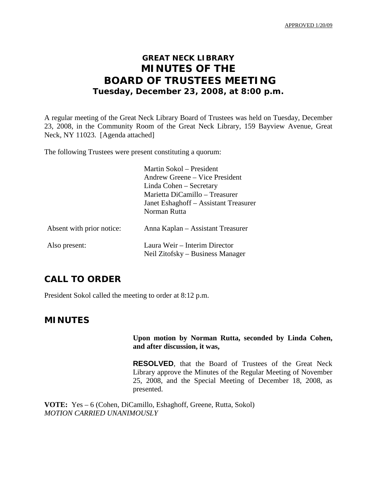# **GREAT NECK LIBRARY MINUTES OF THE BOARD OF TRUSTEES MEETING Tuesday, December 23, 2008, at 8:00 p.m.**

A regular meeting of the Great Neck Library Board of Trustees was held on Tuesday, December 23, 2008, in the Community Room of the Great Neck Library, 159 Bayview Avenue, Great Neck, NY 11023. [Agenda attached]

The following Trustees were present constituting a quorum:

|                           | Martin Sokol – President              |
|---------------------------|---------------------------------------|
|                           | Andrew Greene – Vice President        |
|                           | Linda Cohen – Secretary               |
|                           | Marietta DiCamillo – Treasurer        |
|                           | Janet Eshaghoff – Assistant Treasurer |
|                           | Norman Rutta                          |
| Absent with prior notice: | Anna Kaplan – Assistant Treasurer     |
| Also present:             | Laura Weir – Interim Director         |
|                           | Neil Zitofsky – Business Manager      |

## **CALL TO ORDER**

President Sokol called the meeting to order at 8:12 p.m.

## **MINUTES**

#### **Upon motion by Norman Rutta, seconded by Linda Cohen, and after discussion, it was,**

**RESOLVED**, that the Board of Trustees of the Great Neck Library approve the Minutes of the Regular Meeting of November 25, 2008, and the Special Meeting of December 18, 2008, as presented.

**VOTE:** Yes – 6 (Cohen, DiCamillo, Eshaghoff, Greene, Rutta, Sokol) *MOTION CARRIED UNANIMOUSLY*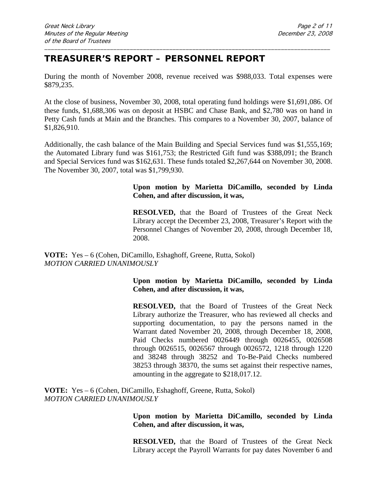# **TREASURER'S REPORT – PERSONNEL REPORT**

During the month of November 2008, revenue received was \$988,033. Total expenses were \$879,235.

\_\_\_\_\_\_\_\_\_\_\_\_\_\_\_\_\_\_\_\_\_\_\_\_\_\_\_\_\_\_\_\_\_\_\_\_\_\_\_\_\_\_\_\_\_\_\_\_\_\_\_\_\_\_\_\_\_\_\_\_\_\_\_\_\_\_\_\_\_\_\_\_\_\_\_\_\_\_\_\_\_\_\_\_\_\_\_

At the close of business, November 30, 2008, total operating fund holdings were \$1,691,086. Of these funds, \$1,688,306 was on deposit at HSBC and Chase Bank, and \$2,780 was on hand in Petty Cash funds at Main and the Branches. This compares to a November 30, 2007, balance of \$1,826,910.

Additionally, the cash balance of the Main Building and Special Services fund was \$1,555,169; the Automated Library fund was \$161,753; the Restricted Gift fund was \$388,091; the Branch and Special Services fund was \$162,631. These funds totaled \$2,267,644 on November 30, 2008. The November 30, 2007, total was \$1,799,930.

### **Upon motion by Marietta DiCamillo, seconded by Linda Cohen, and after discussion, it was,**

**RESOLVED,** that the Board of Trustees of the Great Neck Library accept the December 23, 2008, Treasurer's Report with the Personnel Changes of November 20, 2008, through December 18, 2008.

**VOTE:** Yes – 6 (Cohen, DiCamillo, Eshaghoff, Greene, Rutta, Sokol) *MOTION CARRIED UNANIMOUSLY*

#### **Upon motion by Marietta DiCamillo, seconded by Linda Cohen, and after discussion, it was,**

**RESOLVED,** that the Board of Trustees of the Great Neck Library authorize the Treasurer, who has reviewed all checks and supporting documentation, to pay the persons named in the Warrant dated November 20, 2008, through December 18, 2008, Paid Checks numbered 0026449 through 0026455, 0026508 through 0026515, 0026567 through 0026572, 1218 through 1220 and 38248 through 38252 and To-Be-Paid Checks numbered 38253 through 38370, the sums set against their respective names, amounting in the aggregate to \$218,017.12.

**VOTE:** Yes – 6 (Cohen, DiCamillo, Eshaghoff, Greene, Rutta, Sokol) *MOTION CARRIED UNANIMOUSLY*

> **Upon motion by Marietta DiCamillo, seconded by Linda Cohen, and after discussion, it was,**

> **RESOLVED,** that the Board of Trustees of the Great Neck Library accept the Payroll Warrants for pay dates November 6 and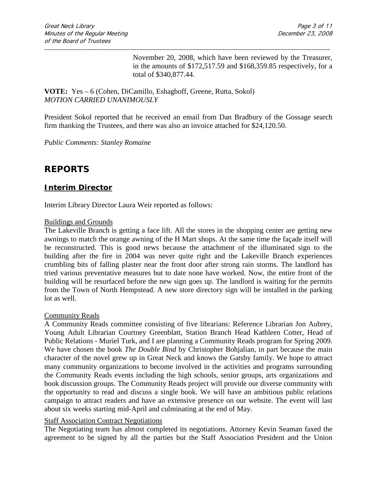November 20, 2008, which have been reviewed by the Treasurer, in the amounts of \$172,517.59 and \$168,359.85 respectively, for a total of \$340,877.44.

**VOTE:** Yes – 6 (Cohen, DiCamillo, Eshaghoff, Greene, Rutta, Sokol) *MOTION CARRIED UNANIMOUSLY*

President Sokol reported that he received an email from Dan Bradbury of the Gossage search firm thanking the Trustees, and there was also an invoice attached for \$24,120.50.

\_\_\_\_\_\_\_\_\_\_\_\_\_\_\_\_\_\_\_\_\_\_\_\_\_\_\_\_\_\_\_\_\_\_\_\_\_\_\_\_\_\_\_\_\_\_\_\_\_\_\_\_\_\_\_\_\_\_\_\_\_\_\_\_\_\_\_\_\_\_\_\_\_\_\_\_\_\_\_\_\_\_\_\_\_\_\_

*Public Comments: Stanley Romaine*

## **REPORTS**

## **Interim Director**

Interim Library Director Laura Weir reported as follows:

#### Buildings and Grounds

The Lakeville Branch is getting a face lift. All the stores in the shopping center are getting new awnings to match the orange awning of the H Mart shops. At the same time the façade itself will be reconstructed. This is good news because the attachment of the illuminated sign to the building after the fire in 2004 was never quite right and the Lakeville Branch experiences crumbling bits of falling plaster near the front door after strong rain storms. The landlord has tried various preventative measures but to date none have worked. Now, the entire front of the building will be resurfaced before the new sign goes up. The landlord is waiting for the permits from the Town of North Hempstead. A new store directory sign will be installed in the parking lot as well.

#### Community Reads

A Community Reads committee consisting of five librarians: Reference Librarian Jon Aubrey, Young Adult Librarian Courtney Greenblatt, Station Branch Head Kathleen Cotter, Head of Public Relations - Muriel Turk, and I are planning a Community Reads program for Spring 2009. We have chosen the book *The Double Bind* by Christopher Bohjalian, in part because the main character of the novel grew up in Great Neck and knows the Gatsby family. We hope to attract many community organizations to become involved in the activities and programs surrounding the Community Reads events including the high schools, senior groups, arts organizations and book discussion groups. The Community Reads project will provide our diverse community with the opportunity to read and discuss a single book. We will have an ambitious public relations campaign to attract readers and have an extensive presence on our website. The event will last about six weeks starting mid-April and culminating at the end of May.

#### Staff Association Contract Negotiations

The Negotiating team has almost completed its negotiations. Attorney Kevin Seaman faxed the agreement to be signed by all the parties but the Staff Association President and the Union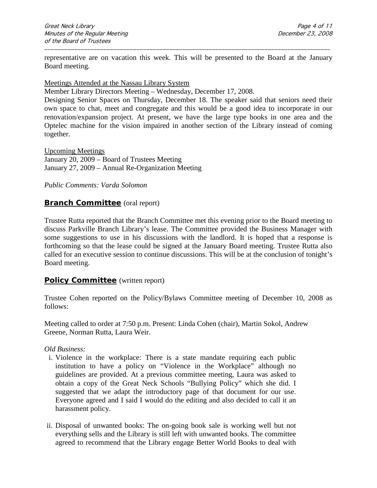representative are on vacation this week. This will be presented to the Board at the January Board meeting.

\_\_\_\_\_\_\_\_\_\_\_\_\_\_\_\_\_\_\_\_\_\_\_\_\_\_\_\_\_\_\_\_\_\_\_\_\_\_\_\_\_\_\_\_\_\_\_\_\_\_\_\_\_\_\_\_\_\_\_\_\_\_\_\_\_\_\_\_\_\_\_\_\_\_\_\_\_\_\_\_\_\_\_\_\_\_\_

#### Meetings Attended at the Nassau Library System

Member Library Directors Meeting – Wednesday, December 17, 2008.

Designing Senior Spaces on Thursday, December 18. The speaker said that seniors need their own space to chat, meet and congregate and this would be a good idea to incorporate in our renovation/expansion project. At present, we have the large type books in one area and the Optelec machine for the vision impaired in another section of the Library instead of coming together.

Upcoming Meetings January 20, 2009 – Board of Trustees Meeting January 27, 2009 – Annual Re-Organization Meeting

#### *Public Comments: Varda Solomon*

### **Branch Committee** (oral report)

Trustee Rutta reported that the Branch Committee met this evening prior to the Board meeting to discuss Parkville Branch Library's lease. The Committee provided the Business Manager with some suggestions to use in his discussions with the landlord. It is hoped that a response is forthcoming so that the lease could be signed at the January Board meeting. Trustee Rutta also called for an executive session to continue discussions. This will be at the conclusion of tonight's Board meeting.

#### **Policy Committee** (written report)

Trustee Cohen reported on the Policy/Bylaws Committee meeting of December 10, 2008 as follows:

Meeting called to order at 7:50 p.m. Present: Linda Cohen (chair), Martin Sokol, Andrew Greene, Norman Rutta, Laura Weir.

#### *Old Business:*

- i. Violence in the workplace: There is a state mandate requiring each public institution to have a policy on "Violence in the Workplace" although no guidelines are provided. At a previous committee meeting, Laura was asked to obtain a copy of the Great Neck Schools "Bullying Policy" which she did. I suggested that we adapt the introductory page of that document for our use. Everyone agreed and I said I would do the editing and also decided to call it an harassment policy.
- ii. Disposal of unwanted books: The on-going book sale is working well but not everything sells and the Library is still left with unwanted books. The committee agreed to recommend that the Library engage Better World Books to deal with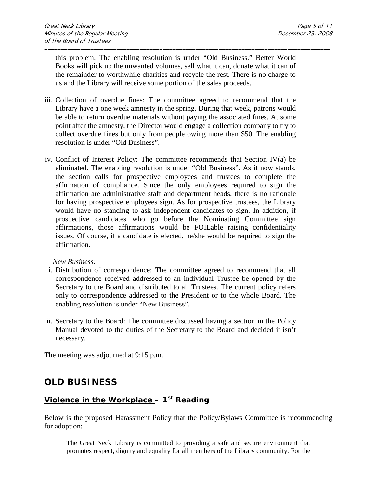this problem. The enabling resolution is under "Old Business." Better World Books will pick up the unwanted volumes, sell what it can, donate what it can of the remainder to worthwhile charities and recycle the rest. There is no charge to us and the Library will receive some portion of the sales proceeds.

\_\_\_\_\_\_\_\_\_\_\_\_\_\_\_\_\_\_\_\_\_\_\_\_\_\_\_\_\_\_\_\_\_\_\_\_\_\_\_\_\_\_\_\_\_\_\_\_\_\_\_\_\_\_\_\_\_\_\_\_\_\_\_\_\_\_\_\_\_\_\_\_\_\_\_\_\_\_\_\_\_\_\_\_\_\_\_

- iii. Collection of overdue fines: The committee agreed to recommend that the Library have a one week amnesty in the spring. During that week, patrons would be able to return overdue materials without paying the associated fines. At some point after the amnesty, the Director would engage a collection company to try to collect overdue fines but only from people owing more than \$50. The enabling resolution is under "Old Business".
- iv. Conflict of Interest Policy: The committee recommends that Section IV(a) be eliminated. The enabling resolution is under "Old Business". As it now stands, the section calls for prospective employees and trustees to complete the affirmation of compliance. Since the only employees required to sign the affirmation are administrative staff and department heads, there is no rationale for having prospective employees sign. As for prospective trustees, the Library would have no standing to ask independent candidates to sign. In addition, if prospective candidates who go before the Nominating Committee sign affirmations, those affirmations would be FOILable raising confidentiality issues. Of course, if a candidate is elected, he/she would be required to sign the affirmation.

#### *New Business:*

- i. Distribution of correspondence: The committee agreed to recommend that all correspondence received addressed to an individual Trustee be opened by the Secretary to the Board and distributed to all Trustees. The current policy refers only to correspondence addressed to the President or to the whole Board. The enabling resolution is under "New Business".
- ii. Secretary to the Board: The committee discussed having a section in the Policy Manual devoted to the duties of the Secretary to the Board and decided it isn't necessary.

The meeting was adjourned at 9:15 p.m.

# **OLD BUSINESS**

## **Violence in the Workplace – 1st Reading**

Below is the proposed Harassment Policy that the Policy/Bylaws Committee is recommending for adoption:

The Great Neck Library is committed to providing a safe and secure environment that promotes respect, dignity and equality for all members of the Library community. For the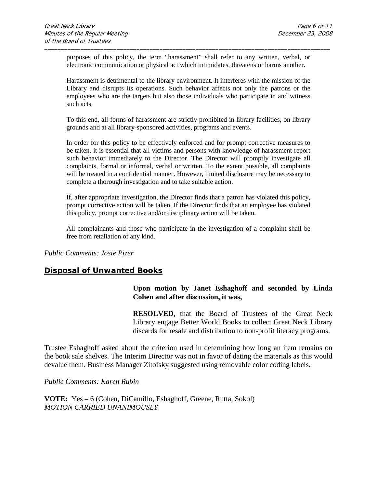purposes of this policy, the term "harassment" shall refer to any written, verbal, or electronic communication or physical act which intimidates, threatens or harms another.

\_\_\_\_\_\_\_\_\_\_\_\_\_\_\_\_\_\_\_\_\_\_\_\_\_\_\_\_\_\_\_\_\_\_\_\_\_\_\_\_\_\_\_\_\_\_\_\_\_\_\_\_\_\_\_\_\_\_\_\_\_\_\_\_\_\_\_\_\_\_\_\_\_\_\_\_\_\_\_\_\_\_\_\_\_\_\_

Harassment is detrimental to the library environment. It interferes with the mission of the Library and disrupts its operations. Such behavior affects not only the patrons or the employees who are the targets but also those individuals who participate in and witness such acts.

To this end, all forms of harassment are strictly prohibited in library facilities, on library grounds and at all library-sponsored activities, programs and events.

In order for this policy to be effectively enforced and for prompt corrective measures to be taken, it is essential that all victims and persons with knowledge of harassment report such behavior immediately to the Director. The Director will promptly investigate all complaints, formal or informal, verbal or written. To the extent possible, all complaints will be treated in a confidential manner. However, limited disclosure may be necessary to complete a thorough investigation and to take suitable action.

If, after appropriate investigation, the Director finds that a patron has violated this policy, prompt corrective action will be taken. If the Director finds that an employee has violated this policy, prompt corrective and/or disciplinary action will be taken.

All complainants and those who participate in the investigation of a complaint shall be free from retaliation of any kind.

*Public Comments: Josie Pizer*

## **Disposal of Unwanted Books**

**Upon motion by Janet Eshaghoff and seconded by Linda Cohen and after discussion, it was,**

**RESOLVED,** that the Board of Trustees of the Great Neck Library engage Better World Books to collect Great Neck Library discards for resale and distribution to non-profit literacy programs.

Trustee Eshaghoff asked about the criterion used in determining how long an item remains on the book sale shelves. The Interim Director was not in favor of dating the materials as this would devalue them. Business Manager Zitofsky suggested using removable color coding labels.

*Public Comments: Karen Rubin*

**VOTE:** Yes **–** 6 (Cohen, DiCamillo, Eshaghoff, Greene, Rutta, Sokol) *MOTION CARRIED UNANIMOUSLY*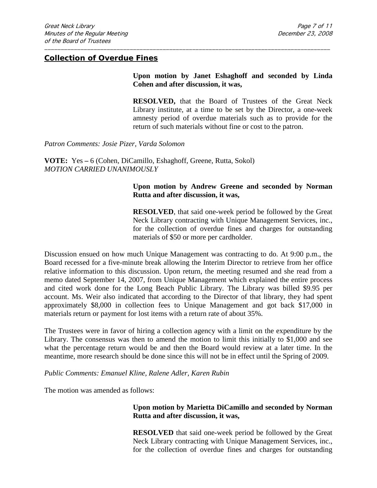#### **Collection of Overdue Fines**

### **Upon motion by Janet Eshaghoff and seconded by Linda Cohen and after discussion, it was,**

**RESOLVED,** that the Board of Trustees of the Great Neck Library institute, at a time to be set by the Director, a one-week amnesty period of overdue materials such as to provide for the return of such materials without fine or cost to the patron.

*Patron Comments: Josie Pizer, Varda Solomon*

**VOTE:** Yes **–** 6 (Cohen, DiCamillo, Eshaghoff, Greene, Rutta, Sokol) *MOTION CARRIED UNANIMOUSLY*

#### **Upon motion by Andrew Greene and seconded by Norman Rutta and after discussion, it was,**

**RESOLVED**, that said one-week period be followed by the Great Neck Library contracting with Unique Management Services, inc., for the collection of overdue fines and charges for outstanding materials of \$50 or more per cardholder.

Discussion ensued on how much Unique Management was contracting to do. At 9:00 p.m., the Board recessed for a five-minute break allowing the Interim Director to retrieve from her office relative information to this discussion. Upon return, the meeting resumed and she read from a memo dated September 14, 2007, from Unique Management which explained the entire process and cited work done for the Long Beach Public Library. The Library was billed \$9.95 per account. Ms. Weir also indicated that according to the Director of that library, they had spent approximately \$8,000 in collection fees to Unique Management and got back \$17,000 in materials return or payment for lost items with a return rate of about 35%.

\_\_\_\_\_\_\_\_\_\_\_\_\_\_\_\_\_\_\_\_\_\_\_\_\_\_\_\_\_\_\_\_\_\_\_\_\_\_\_\_\_\_\_\_\_\_\_\_\_\_\_\_\_\_\_\_\_\_\_\_\_\_\_\_\_\_\_\_\_\_\_\_\_\_\_\_\_\_\_\_\_\_\_\_\_\_\_

The Trustees were in favor of hiring a collection agency with a limit on the expenditure by the Library. The consensus was then to amend the motion to limit this initially to \$1,000 and see what the percentage return would be and then the Board would review at a later time. In the meantime, more research should be done since this will not be in effect until the Spring of 2009.

*Public Comments: Emanuel Kline, Ralene Adler, Karen Rubin*

The motion was amended as follows:

#### **Upon motion by Marietta DiCamillo and seconded by Norman Rutta and after discussion, it was,**

**RESOLVED** that said one-week period be followed by the Great Neck Library contracting with Unique Management Services, inc., for the collection of overdue fines and charges for outstanding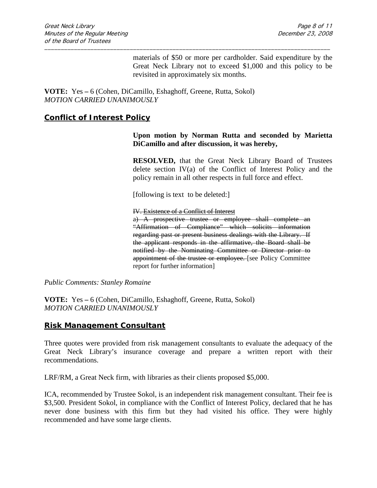materials of \$50 or more per cardholder. Said expenditure by the Great Neck Library not to exceed \$1,000 and this policy to be revisited in approximately six months.

**VOTE:** Yes **–** 6 (Cohen, DiCamillo, Eshaghoff, Greene, Rutta, Sokol) *MOTION CARRIED UNANIMOUSLY*

### **Conflict of Interest Policy**

**Upon motion by Norman Rutta and seconded by Marietta DiCamillo and after discussion, it was hereby,**

**RESOLVED,** that the Great Neck Library Board of Trustees delete section IV(a) of the Conflict of Interest Policy and the policy remain in all other respects in full force and effect.

[following is text to be deleted:]

\_\_\_\_\_\_\_\_\_\_\_\_\_\_\_\_\_\_\_\_\_\_\_\_\_\_\_\_\_\_\_\_\_\_\_\_\_\_\_\_\_\_\_\_\_\_\_\_\_\_\_\_\_\_\_\_\_\_\_\_\_\_\_\_\_\_\_\_\_\_\_\_\_\_\_\_\_\_\_\_\_\_\_\_\_\_\_

IV. Existence of a Conflict of Interest

a) A prospective trustee or employee shall complete an "Affirmation of Compliance" which solicits information regarding past or present business dealings with the Library. If the applicant responds in the affirmative, the Board shall be notified by the Nominating Committee or Director prior to appointment of the trustee or employee. [see Policy Committee report for further information]

*Public Comments: Stanley Romaine*

**VOTE:** Yes **–** 6 (Cohen, DiCamillo, Eshaghoff, Greene, Rutta, Sokol) *MOTION CARRIED UNANIMOUSLY*

#### **Risk Management Consultant**

Three quotes were provided from risk management consultants to evaluate the adequacy of the Great Neck Library's insurance coverage and prepare a written report with their recommendations.

LRF/RM, a Great Neck firm, with libraries as their clients proposed \$5,000.

ICA, recommended by Trustee Sokol, is an independent risk management consultant. Their fee is \$3,500. President Sokol, in compliance with the Conflict of Interest Policy, declared that he has never done business with this firm but they had visited his office. They were highly recommended and have some large clients.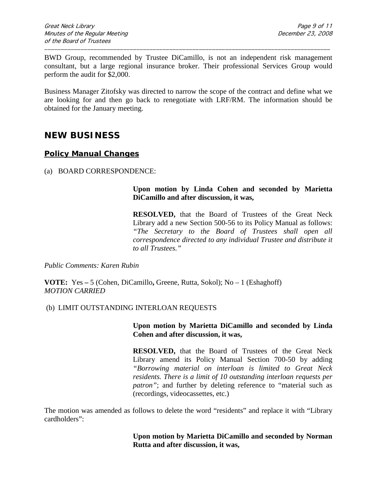BWD Group, recommended by Trustee DiCamillo, is not an independent risk management consultant, but a large regional insurance broker. Their professional Services Group would perform the audit for \$2,000.

\_\_\_\_\_\_\_\_\_\_\_\_\_\_\_\_\_\_\_\_\_\_\_\_\_\_\_\_\_\_\_\_\_\_\_\_\_\_\_\_\_\_\_\_\_\_\_\_\_\_\_\_\_\_\_\_\_\_\_\_\_\_\_\_\_\_\_\_\_\_\_\_\_\_\_\_\_\_\_\_\_\_\_\_\_\_\_

Business Manager Zitofsky was directed to narrow the scope of the contract and define what we are looking for and then go back to renegotiate with LRF/RM. The information should be obtained for the January meeting.

## **NEW BUSINESS**

## **Policy Manual Changes**

(a) BOARD CORRESPONDENCE:

## **Upon motion by Linda Cohen and seconded by Marietta DiCamillo and after discussion, it was,**

**RESOLVED,** that the Board of Trustees of the Great Neck Library add a new Section 500-56 to its Policy Manual as follows: *"The Secretary to the Board of Trustees shall open all correspondence directed to any individual Trustee and distribute it to all Trustees."*

*Public Comments: Karen Rubin*

**VOTE:** Yes **–** 5 (Cohen, DiCamillo**,** Greene, Rutta, Sokol); No – 1 (Eshaghoff) *MOTION CARRIED* 

## (b) LIMIT OUTSTANDING INTERLOAN REQUESTS

### **Upon motion by Marietta DiCamillo and seconded by Linda Cohen and after discussion, it was,**

**RESOLVED,** that the Board of Trustees of the Great Neck Library amend its Policy Manual Section 700-50 by adding *"Borrowing material on interloan is limited to Great Neck residents. There is a limit of 10 outstanding interloan requests per patron*"; and further by deleting reference to "material such as (recordings, videocassettes, etc.)

The motion was amended as follows to delete the word "residents" and replace it with "Library cardholders":

> **Upon motion by Marietta DiCamillo and seconded by Norman Rutta and after discussion, it was,**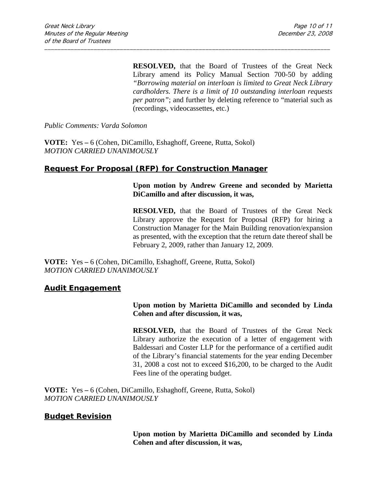**RESOLVED,** that the Board of Trustees of the Great Neck Library amend its Policy Manual Section 700-50 by adding *"Borrowing material on interloan is limited to Great Neck Library cardholders. There is a limit of 10 outstanding interloan requests per patron"*; and further by deleting reference to "material such as (recordings, videocassettes, etc.)

\_\_\_\_\_\_\_\_\_\_\_\_\_\_\_\_\_\_\_\_\_\_\_\_\_\_\_\_\_\_\_\_\_\_\_\_\_\_\_\_\_\_\_\_\_\_\_\_\_\_\_\_\_\_\_\_\_\_\_\_\_\_\_\_\_\_\_\_\_\_\_\_\_\_\_\_\_\_\_\_\_\_\_\_\_\_\_

*Public Comments: Varda Solomon*

**VOTE:** Yes **–** 6 (Cohen, DiCamillo, Eshaghoff, Greene, Rutta, Sokol) *MOTION CARRIED UNANIMOUSLY*

## **Request For Proposal (RFP) for Construction Manager**

#### **Upon motion by Andrew Greene and seconded by Marietta DiCamillo and after discussion, it was,**

**RESOLVED,** that the Board of Trustees of the Great Neck Library approve the Request for Proposal (RFP) for hiring a Construction Manager for the Main Building renovation/expansion as presented, with the exception that the return date thereof shall be February 2, 2009, rather than January 12, 2009.

**VOTE:** Yes **–** 6 (Cohen, DiCamillo, Eshaghoff, Greene, Rutta, Sokol) *MOTION CARRIED UNANIMOUSLY*

#### **Audit Engagement**

### **Upon motion by Marietta DiCamillo and seconded by Linda Cohen and after discussion, it was,**

**RESOLVED,** that the Board of Trustees of the Great Neck Library authorize the execution of a letter of engagement with Baldessari and Coster LLP for the performance of a certified audit of the Library's financial statements for the year ending December 31, 2008 a cost not to exceed \$16,200, to be charged to the Audit Fees line of the operating budget.

**VOTE:** Yes **–** 6 (Cohen, DiCamillo, Eshaghoff, Greene, Rutta, Sokol) *MOTION CARRIED UNANIMOUSLY*

## **Budget Revision**

**Upon motion by Marietta DiCamillo and seconded by Linda Cohen and after discussion, it was,**